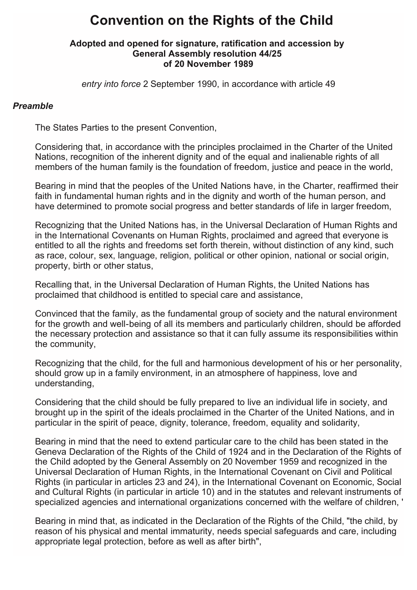# **Convention on the Rights of the Child**

#### **Adopted and opened for signature, ratification and accession by General Assembly resolution 44/25 of 20 November 1989**

*entry into force* 2 September 1990, in accordance with article 49

#### *Preamble*

The States Parties to the present Convention,

Considering that, in accordance with the principles proclaimed in the Charter of the United Nations, recognition of the inherent dignity and of the equal and inalienable rights of all members of the human family is the foundation of freedom, justice and peace in the world,

Bearing in mind that the peoples of the United Nations have, in the Charter, reaffirmed their faith in fundamental human rights and in the dignity and worth of the human person, and have determined to promote social progress and better standards of life in larger freedom,

Recognizing that the United Nations has, in the Universal Declaration of Human Rights and in the International Covenants on Human Rights, proclaimed and agreed that everyone is entitled to all the rights and freedoms set forth therein, without distinction of any kind, such as race, colour, sex, language, religion, political or other opinion, national or social origin, property, birth or other status,

Recalling that, in the Universal Declaration of Human Rights, the United Nations has proclaimed that childhood is entitled to special care and assistance,

Convinced that the family, as the fundamental group of society and the natural environment for the growth and well-being of all its members and particularly children, should be afforded the necessary protection and assistance so that it can fully assume its responsibilities within the community,

Recognizing that the child, for the full and harmonious development of his or her personality, should grow up in a family environment, in an atmosphere of happiness, love and understanding,

Considering that the child should be fully prepared to live an individual life in society, and brought up in the spirit of the ideals proclaimed in the Charter of the United Nations, and in particular in the spirit of peace, dignity, tolerance, freedom, equality and solidarity,

Bearing in mind that the need to extend particular care to the child has been stated in the Geneva Declaration of the Rights of the Child of 1924 and in the Declaration of the Rights of the Child adopted by the General Assembly on 20 November 1959 and recognized in the Universal Declaration of Human Rights, in the International Covenant on Civil and Political Rights (in particular in articles 23 and 24), in the International Covenant on Economic, Social and Cultural Rights (in particular in article 10) and in the statutes and relevant instruments of specialized agencies and international organizations concerned with the welfare of children, '

Bearing in mind that, as indicated in the Declaration of the Rights of the Child, "the child, by reason of his physical and mental immaturity, needs special safeguards and care, including appropriate legal protection, before as well as after birth",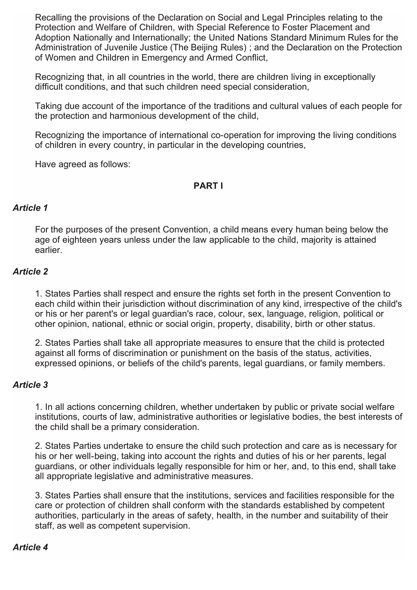Recalling the provisions of the Declaration on Social and Legal Principles relating to the Protection and Welfare of Children, with Special Reference to Foster Placement and Adoption Nationally and Internationally; the United Nations Standard Minimum Rules for the Administration of Juvenile Justice (The Beijing Rules) ; and the Declaration on the Protection of Women and Children in Emergency and Armed Conflict,

Recognizing that, in all countries in the world, there are children living in exceptionally difficult conditions, and that such children need special consideration,

Taking due account of the importance of the traditions and cultural values of each people for the protection and harmonious development of the child,

Recognizing the importance of international co-operation for improving the living conditions of children in every country, in particular in the developing countries,

Have agreed as follows:

#### **PART I**

## *Article 1*

For the purposes of the present Convention, a child means every human being below the age of eighteen years unless under the law applicable to the child, majority is attained earlier.

#### *Article 2*

1. States Parties shall respect and ensure the rights set forth in the present Convention to each child within their jurisdiction without discrimination of any kind, irrespective of the child's or his or her parent's or legal guardian's race, colour, sex, language, religion, political or other opinion, national, ethnic or social origin, property, disability, birth or other status.

2. States Parties shall take all appropriate measures to ensure that the child is protected against all forms of discrimination or punishment on the basis of the status, activities, expressed opinions, or beliefs of the child's parents, legal guardians, or family members.

#### *Article 3*

1. In all actions concerning children, whether undertaken by public or private social welfare institutions, courts of law, administrative authorities or legislative bodies, the best interests of the child shall be a primary consideration.

2. States Parties undertake to ensure the child such protection and care as is necessary for his or her well-being, taking into account the rights and duties of his or her parents, legal guardians, or other individuals legally responsible for him or her, and, to this end, shall take all appropriate legislative and administrative measures.

3. States Parties shall ensure that the institutions, services and facilities responsible for the care or protection of children shall conform with the standards established by competent authorities, particularly in the areas of safety, health, in the number and suitability of their staff, as well as competent supervision.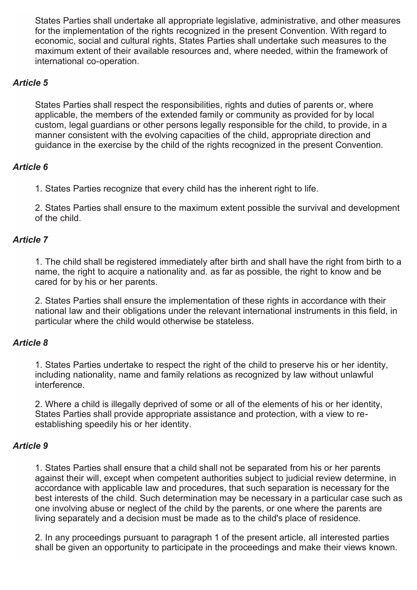States Parties shall undertake all appropriate legislative, administrative, and other measures for the implementation of the rights recognized in the present Convention. With regard to economic, social and cultural rights, States Parties shall undertake such measures to the maximum extent of their available resources and, where needed, within the framework of international co-operation.

## *Article 5*

States Parties shall respect the responsibilities, rights and duties of parents or, where applicable, the members of the extended family or community as provided for by local custom, legal guardians or other persons legally responsible for the child, to provide, in a manner consistent with the evolving capacities of the child, appropriate direction and guidance in the exercise by the child of the rights recognized in the present Convention.

# *Article 6*

1. States Parties recognize that every child has the inherent right to life.

2. States Parties shall ensure to the maximum extent possible the survival and development of the child.

## *Article 7*

1. The child shall be registered immediately after birth and shall have the right from birth to a name, the right to acquire a nationality and. as far as possible, the right to know and be cared for by his or her parents.

2. States Parties shall ensure the implementation of these rights in accordance with their national law and their obligations under the relevant international instruments in this field, in particular where the child would otherwise be stateless.

## *Article 8*

1. States Parties undertake to respect the right of the child to preserve his or her identity, including nationality, name and family relations as recognized by law without unlawful interference.

2. Where a child is illegally deprived of some or all of the elements of his or her identity, States Parties shall provide appropriate assistance and protection, with a view to reestablishing speedily his or her identity.

#### *Article 9*

1. States Parties shall ensure that a child shall not be separated from his or her parents against their will, except when competent authorities subject to judicial review determine, in accordance with applicable law and procedures, that such separation is necessary for the best interests of the child. Such determination may be necessary in a particular case such as one involving abuse or neglect of the child by the parents, or one where the parents are living separately and a decision must be made as to the child's place of residence.

2. In any proceedings pursuant to paragraph 1 of the present article, all interested parties shall be given an opportunity to participate in the proceedings and make their views known.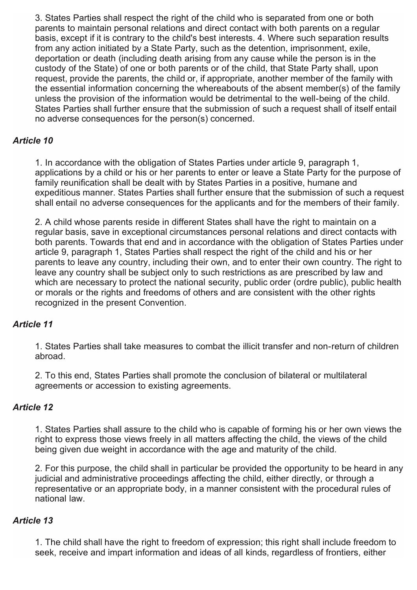3. States Parties shall respect the right of the child who is separated from one or both parents to maintain personal relations and direct contact with both parents on a regular basis, except if it is contrary to the child's best interests. 4. Where such separation results from any action initiated by a State Party, such as the detention, imprisonment, exile, deportation or death (including death arising from any cause while the person is in the custody of the State) of one or both parents or of the child, that State Party shall, upon request, provide the parents, the child or, if appropriate, another member of the family with the essential information concerning the whereabouts of the absent member(s) of the family unless the provision of the information would be detrimental to the well-being of the child. States Parties shall further ensure that the submission of such a request shall of itself entail no adverse consequences for the person(s) concerned.

## *Article 10*

1. In accordance with the obligation of States Parties under article 9, paragraph 1, applications by a child or his or her parents to enter or leave a State Party for the purpose of family reunification shall be dealt with by States Parties in a positive, humane and expeditious manner. States Parties shall further ensure that the submission of such a request shall entail no adverse consequences for the applicants and for the members of their family.

2. A child whose parents reside in different States shall have the right to maintain on a regular basis, save in exceptional circumstances personal relations and direct contacts with both parents. Towards that end and in accordance with the obligation of States Parties under article 9, paragraph 1, States Parties shall respect the right of the child and his or her parents to leave any country, including their own, and to enter their own country. The right to leave any country shall be subject only to such restrictions as are prescribed by law and which are necessary to protect the national security, public order (ordre public), public health or morals or the rights and freedoms of others and are consistent with the other rights recognized in the present Convention.

## *Article 11*

1. States Parties shall take measures to combat the illicit transfer and non-return of children abroad.

2. To this end, States Parties shall promote the conclusion of bilateral or multilateral agreements or accession to existing agreements.

#### *Article 12*

1. States Parties shall assure to the child who is capable of forming his or her own views the right to express those views freely in all matters affecting the child, the views of the child being given due weight in accordance with the age and maturity of the child.

2. For this purpose, the child shall in particular be provided the opportunity to be heard in any judicial and administrative proceedings affecting the child, either directly, or through a representative or an appropriate body, in a manner consistent with the procedural rules of national law.

#### *Article 13*

1. The child shall have the right to freedom of expression; this right shall include freedom to seek, receive and impart information and ideas of all kinds, regardless of frontiers, either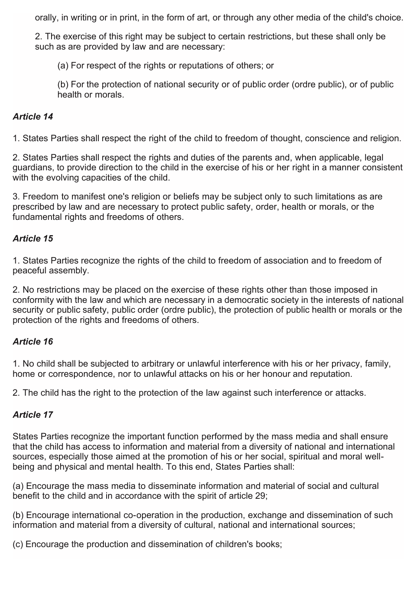orally, in writing or in print, in the form of art, or through any other media of the child's choice.

2. The exercise of this right may be subject to certain restrictions, but these shall only be such as are provided by law and are necessary:

(a) For respect of the rights or reputations of others; or

(b) For the protection of national security or of public order (ordre public), or of public health or morals.

## *Article 14*

1. States Parties shall respect the right of the child to freedom of thought, conscience and religion.

2. States Parties shall respect the rights and duties of the parents and, when applicable, legal guardians, to provide direction to the child in the exercise of his or her right in a manner consistent with the evolving capacities of the child.

3. Freedom to manifest one's religion or beliefs may be subject only to such limitations as are prescribed by law and are necessary to protect public safety, order, health or morals, or the fundamental rights and freedoms of others.

## *Article 15*

1. States Parties recognize the rights of the child to freedom of association and to freedom of peaceful assembly.

2. No restrictions may be placed on the exercise of these rights other than those imposed in conformity with the law and which are necessary in a democratic society in the interests of national security or public safety, public order (ordre public), the protection of public health or morals or the protection of the rights and freedoms of others.

#### *Article 16*

1. No child shall be subjected to arbitrary or unlawful interference with his or her privacy, family, home or correspondence, nor to unlawful attacks on his or her honour and reputation.

2. The child has the right to the protection of the law against such interference or attacks.

## *Article 17*

States Parties recognize the important function performed by the mass media and shall ensure that the child has access to information and material from a diversity of national and international sources, especially those aimed at the promotion of his or her social, spiritual and moral wellbeing and physical and mental health. To this end, States Parties shall:

(a) Encourage the mass media to disseminate information and material of social and cultural benefit to the child and in accordance with the spirit of article 29;

(b) Encourage international co-operation in the production, exchange and dissemination of such information and material from a diversity of cultural, national and international sources;

(c) Encourage the production and dissemination of children's books;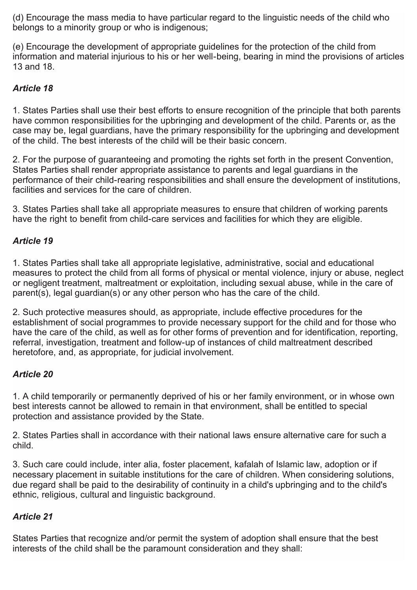(d) Encourage the mass media to have particular regard to the linguistic needs of the child who belongs to a minority group or who is indigenous;

(e) Encourage the development of appropriate guidelines for the protection of the child from information and material injurious to his or her well-being, bearing in mind the provisions of articles 13 and 18.

# *Article 18*

1. States Parties shall use their best efforts to ensure recognition of the principle that both parents have common responsibilities for the upbringing and development of the child. Parents or, as the case may be, legal guardians, have the primary responsibility for the upbringing and development of the child. The best interests of the child will be their basic concern.

2. For the purpose of guaranteeing and promoting the rights set forth in the present Convention, States Parties shall render appropriate assistance to parents and legal guardians in the performance of their child-rearing responsibilities and shall ensure the development of institutions, facilities and services for the care of children.

3. States Parties shall take all appropriate measures to ensure that children of working parents have the right to benefit from child-care services and facilities for which they are eligible.

## *Article 19*

1. States Parties shall take all appropriate legislative, administrative, social and educational measures to protect the child from all forms of physical or mental violence, injury or abuse, neglect or negligent treatment, maltreatment or exploitation, including sexual abuse, while in the care of parent(s), legal guardian(s) or any other person who has the care of the child.

2. Such protective measures should, as appropriate, include effective procedures for the establishment of social programmes to provide necessary support for the child and for those who have the care of the child, as well as for other forms of prevention and for identification, reporting, referral, investigation, treatment and follow-up of instances of child maltreatment described heretofore, and, as appropriate, for judicial involvement.

#### *Article 20*

1. A child temporarily or permanently deprived of his or her family environment, or in whose own best interests cannot be allowed to remain in that environment, shall be entitled to special protection and assistance provided by the State.

2. States Parties shall in accordance with their national laws ensure alternative care for such a child.

3. Such care could include, inter alia, foster placement, kafalah of Islamic law, adoption or if necessary placement in suitable institutions for the care of children. When considering solutions, due regard shall be paid to the desirability of continuity in a child's upbringing and to the child's ethnic, religious, cultural and linguistic background.

#### *Article 21*

States Parties that recognize and/or permit the system of adoption shall ensure that the best interests of the child shall be the paramount consideration and they shall: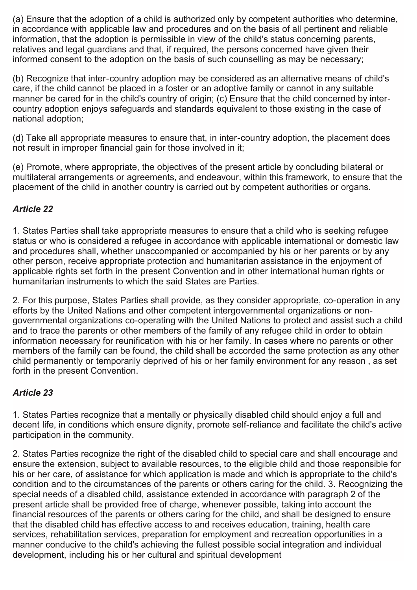(a) Ensure that the adoption of a child is authorized only by competent authorities who determine, in accordance with applicable law and procedures and on the basis of all pertinent and reliable information, that the adoption is permissible in view of the child's status concerning parents, relatives and legal guardians and that, if required, the persons concerned have given their informed consent to the adoption on the basis of such counselling as may be necessary;

(b) Recognize that inter-country adoption may be considered as an alternative means of child's care, if the child cannot be placed in a foster or an adoptive family or cannot in any suitable manner be cared for in the child's country of origin; (c) Ensure that the child concerned by intercountry adoption enjoys safeguards and standards equivalent to those existing in the case of national adoption;

(d) Take all appropriate measures to ensure that, in inter-country adoption, the placement does not result in improper financial gain for those involved in it;

(e) Promote, where appropriate, the objectives of the present article by concluding bilateral or multilateral arrangements or agreements, and endeavour, within this framework, to ensure that the placement of the child in another country is carried out by competent authorities or organs.

# *Article 22*

1. States Parties shall take appropriate measures to ensure that a child who is seeking refugee status or who is considered a refugee in accordance with applicable international or domestic law and procedures shall, whether unaccompanied or accompanied by his or her parents or by any other person, receive appropriate protection and humanitarian assistance in the enjoyment of applicable rights set forth in the present Convention and in other international human rights or humanitarian instruments to which the said States are Parties.

2. For this purpose, States Parties shall provide, as they consider appropriate, co-operation in any efforts by the United Nations and other competent intergovernmental organizations or nongovernmental organizations co-operating with the United Nations to protect and assist such a child and to trace the parents or other members of the family of any refugee child in order to obtain information necessary for reunification with his or her family. In cases where no parents or other members of the family can be found, the child shall be accorded the same protection as any other child permanently or temporarily deprived of his or her family environment for any reason , as set forth in the present Convention.

# *Article 23*

1. States Parties recognize that a mentally or physically disabled child should enjoy a full and decent life, in conditions which ensure dignity, promote self-reliance and facilitate the child's active participation in the community.

2. States Parties recognize the right of the disabled child to special care and shall encourage and ensure the extension, subject to available resources, to the eligible child and those responsible for his or her care, of assistance for which application is made and which is appropriate to the child's condition and to the circumstances of the parents or others caring for the child. 3. Recognizing the special needs of a disabled child, assistance extended in accordance with paragraph 2 of the present article shall be provided free of charge, whenever possible, taking into account the financial resources of the parents or others caring for the child, and shall be designed to ensure that the disabled child has effective access to and receives education, training, health care services, rehabilitation services, preparation for employment and recreation opportunities in a manner conducive to the child's achieving the fullest possible social integration and individual development, including his or her cultural and spiritual development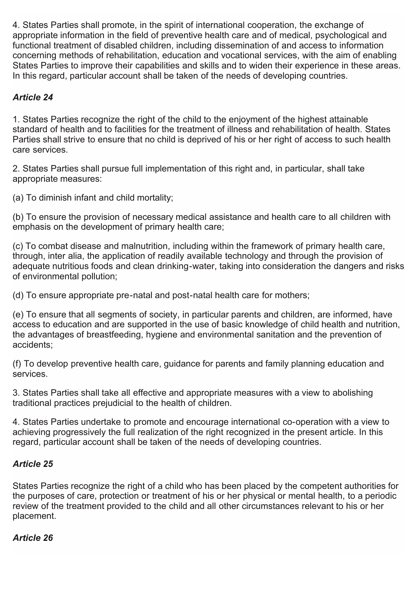4. States Parties shall promote, in the spirit of international cooperation, the exchange of appropriate information in the field of preventive health care and of medical, psychological and functional treatment of disabled children, including dissemination of and access to information concerning methods of rehabilitation, education and vocational services, with the aim of enabling States Parties to improve their capabilities and skills and to widen their experience in these areas. In this regard, particular account shall be taken of the needs of developing countries.

# *Article 24*

1. States Parties recognize the right of the child to the enjoyment of the highest attainable standard of health and to facilities for the treatment of illness and rehabilitation of health. States Parties shall strive to ensure that no child is deprived of his or her right of access to such health care services.

2. States Parties shall pursue full implementation of this right and, in particular, shall take appropriate measures:

(a) To diminish infant and child mortality;

(b) To ensure the provision of necessary medical assistance and health care to all children with emphasis on the development of primary health care;

(c) To combat disease and malnutrition, including within the framework of primary health care, through, inter alia, the application of readily available technology and through the provision of adequate nutritious foods and clean drinking-water, taking into consideration the dangers and risks of environmental pollution;

(d) To ensure appropriate pre-natal and post-natal health care for mothers;

(e) To ensure that all segments of society, in particular parents and children, are informed, have access to education and are supported in the use of basic knowledge of child health and nutrition, the advantages of breastfeeding, hygiene and environmental sanitation and the prevention of accidents;

(f) To develop preventive health care, guidance for parents and family planning education and services.

3. States Parties shall take all effective and appropriate measures with a view to abolishing traditional practices prejudicial to the health of children.

4. States Parties undertake to promote and encourage international co-operation with a view to achieving progressively the full realization of the right recognized in the present article. In this regard, particular account shall be taken of the needs of developing countries.

#### *Article 25*

States Parties recognize the right of a child who has been placed by the competent authorities for the purposes of care, protection or treatment of his or her physical or mental health, to a periodic review of the treatment provided to the child and all other circumstances relevant to his or her placement.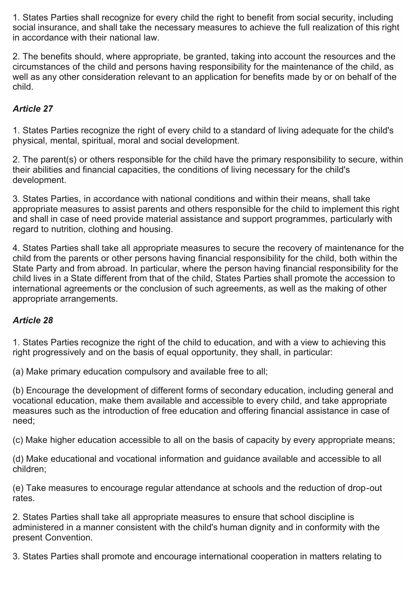1. States Parties shall recognize for every child the right to benefit from social security, including social insurance, and shall take the necessary measures to achieve the full realization of this right in accordance with their national law.

2. The benefits should, where appropriate, be granted, taking into account the resources and the circumstances of the child and persons having responsibility for the maintenance of the child, as well as any other consideration relevant to an application for benefits made by or on behalf of the child.

# *Article 27*

1. States Parties recognize the right of every child to a standard of living adequate for the child's physical, mental, spiritual, moral and social development.

2. The parent(s) or others responsible for the child have the primary responsibility to secure, within their abilities and financial capacities, the conditions of living necessary for the child's development.

3. States Parties, in accordance with national conditions and within their means, shall take appropriate measures to assist parents and others responsible for the child to implement this right and shall in case of need provide material assistance and support programmes, particularly with regard to nutrition, clothing and housing.

4. States Parties shall take all appropriate measures to secure the recovery of maintenance for the child from the parents or other persons having financial responsibility for the child, both within the State Party and from abroad. In particular, where the person having financial responsibility for the child lives in a State different from that of the child, States Parties shall promote the accession to international agreements or the conclusion of such agreements, as well as the making of other appropriate arrangements.

## *Article 28*

1. States Parties recognize the right of the child to education, and with a view to achieving this right progressively and on the basis of equal opportunity, they shall, in particular:

(a) Make primary education compulsory and available free to all;

(b) Encourage the development of different forms of secondary education, including general and vocational education, make them available and accessible to every child, and take appropriate measures such as the introduction of free education and offering financial assistance in case of need;

(c) Make higher education accessible to all on the basis of capacity by every appropriate means;

(d) Make educational and vocational information and guidance available and accessible to all children;

(e) Take measures to encourage regular attendance at schools and the reduction of drop-out rates.

2. States Parties shall take all appropriate measures to ensure that school discipline is administered in a manner consistent with the child's human dignity and in conformity with the present Convention.

3. States Parties shall promote and encourage international cooperation in matters relating to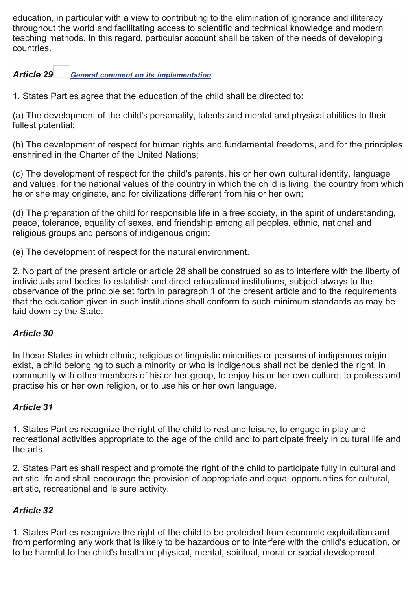education, in particular with a view to contributing to the elimination of ignorance and illiteracy throughout the world and facilitating access to scientific and technical knowledge and modern teaching methods. In this regard, particular account shall be taken of the needs of developing countries.

*Article 29 General comment on its implementation*

1. States Parties agree that the education of the child shall be directed to:

(a) The development of the child's personality, talents and mental and physical abilities to their fullest potential;

(b) The development of respect for human rights and fundamental freedoms, and for the principles enshrined in the Charter of the United Nations;

(c) The development of respect for the child's parents, his or her own cultural identity, language and values, for the national values of the country in which the child is living, the country from which he or she may originate, and for civilizations different from his or her own;

(d) The preparation of the child for responsible life in a free society, in the spirit of understanding, peace, tolerance, equality of sexes, and friendship among all peoples, ethnic, national and religious groups and persons of indigenous origin;

(e) The development of respect for the natural environment.

2. No part of the present article or article 28 shall be construed so as to interfere with the liberty of individuals and bodies to establish and direct educational institutions, subject always to the observance of the principle set forth in paragraph 1 of the present article and to the requirements that the education given in such institutions shall conform to such minimum standards as may be laid down by the State.

## *Article 30*

In those States in which ethnic, religious or linguistic minorities or persons of indigenous origin exist, a child belonging to such a minority or who is indigenous shall not be denied the right, in community with other members of his or her group, to enjoy his or her own culture, to profess and practise his or her own religion, or to use his or her own language.

## *Article 31*

1. States Parties recognize the right of the child to rest and leisure, to engage in play and recreational activities appropriate to the age of the child and to participate freely in cultural life and the arts.

2. States Parties shall respect and promote the right of the child to participate fully in cultural and artistic life and shall encourage the provision of appropriate and equal opportunities for cultural, artistic, recreational and leisure activity.

## *Article 32*

1. States Parties recognize the right of the child to be protected from economic exploitation and from performing any work that is likely to be hazardous or to interfere with the child's education, or to be harmful to the child's health or physical, mental, spiritual, moral or social development.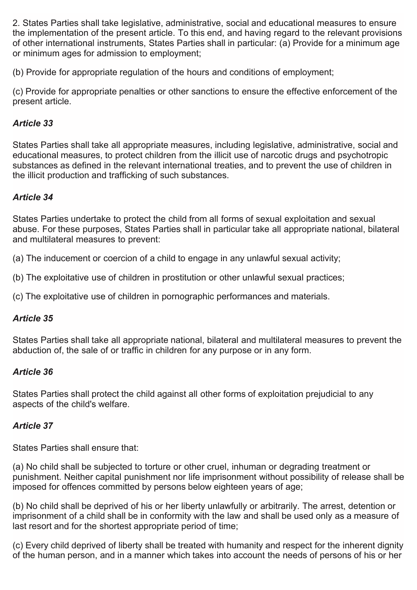2. States Parties shall take legislative, administrative, social and educational measures to ensure the implementation of the present article. To this end, and having regard to the relevant provisions of other international instruments, States Parties shall in particular: (a) Provide for a minimum age or minimum ages for admission to employment;

(b) Provide for appropriate regulation of the hours and conditions of employment;

(c) Provide for appropriate penalties or other sanctions to ensure the effective enforcement of the present article.

## *Article 33*

States Parties shall take all appropriate measures, including legislative, administrative, social and educational measures, to protect children from the illicit use of narcotic drugs and psychotropic substances as defined in the relevant international treaties, and to prevent the use of children in the illicit production and trafficking of such substances.

#### *Article 34*

States Parties undertake to protect the child from all forms of sexual exploitation and sexual abuse. For these purposes, States Parties shall in particular take all appropriate national, bilateral and multilateral measures to prevent:

(a) The inducement or coercion of a child to engage in any unlawful sexual activity;

(b) The exploitative use of children in prostitution or other unlawful sexual practices;

(c) The exploitative use of children in pornographic performances and materials.

#### *Article 35*

States Parties shall take all appropriate national, bilateral and multilateral measures to prevent the abduction of, the sale of or traffic in children for any purpose or in any form.

#### *Article 36*

States Parties shall protect the child against all other forms of exploitation prejudicial to any aspects of the child's welfare.

#### *Article 37*

States Parties shall ensure that:

(a) No child shall be subjected to torture or other cruel, inhuman or degrading treatment or punishment. Neither capital punishment nor life imprisonment without possibility of release shall be imposed for offences committed by persons below eighteen years of age;

(b) No child shall be deprived of his or her liberty unlawfully or arbitrarily. The arrest, detention or imprisonment of a child shall be in conformity with the law and shall be used only as a measure of last resort and for the shortest appropriate period of time;

(c) Every child deprived of liberty shall be treated with humanity and respect for the inherent dignity of the human person, and in a manner which takes into account the needs of persons of his or her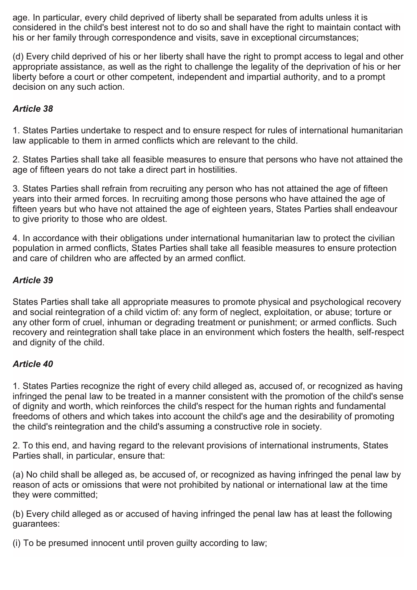age. In particular, every child deprived of liberty shall be separated from adults unless it is considered in the child's best interest not to do so and shall have the right to maintain contact with his or her family through correspondence and visits, save in exceptional circumstances;

(d) Every child deprived of his or her liberty shall have the right to prompt access to legal and other appropriate assistance, as well as the right to challenge the legality of the deprivation of his or her liberty before a court or other competent, independent and impartial authority, and to a prompt decision on any such action.

# *Article 38*

1. States Parties undertake to respect and to ensure respect for rules of international humanitarian law applicable to them in armed conflicts which are relevant to the child.

2. States Parties shall take all feasible measures to ensure that persons who have not attained the age of fifteen years do not take a direct part in hostilities.

3. States Parties shall refrain from recruiting any person who has not attained the age of fifteen years into their armed forces. In recruiting among those persons who have attained the age of fifteen years but who have not attained the age of eighteen years, States Parties shall endeavour to give priority to those who are oldest.

4. In accordance with their obligations under international humanitarian law to protect the civilian population in armed conflicts, States Parties shall take all feasible measures to ensure protection and care of children who are affected by an armed conflict.

## *Article 39*

States Parties shall take all appropriate measures to promote physical and psychological recovery and social reintegration of a child victim of: any form of neglect, exploitation, or abuse; torture or any other form of cruel, inhuman or degrading treatment or punishment; or armed conflicts. Such recovery and reintegration shall take place in an environment which fosters the health, self-respect and dignity of the child.

#### *Article 40*

1. States Parties recognize the right of every child alleged as, accused of, or recognized as having infringed the penal law to be treated in a manner consistent with the promotion of the child's sense of dignity and worth, which reinforces the child's respect for the human rights and fundamental freedoms of others and which takes into account the child's age and the desirability of promoting the child's reintegration and the child's assuming a constructive role in society.

2. To this end, and having regard to the relevant provisions of international instruments, States Parties shall, in particular, ensure that:

(a) No child shall be alleged as, be accused of, or recognized as having infringed the penal law by reason of acts or omissions that were not prohibited by national or international law at the time they were committed;

(b) Every child alleged as or accused of having infringed the penal law has at least the following guarantees:

(i) To be presumed innocent until proven guilty according to law;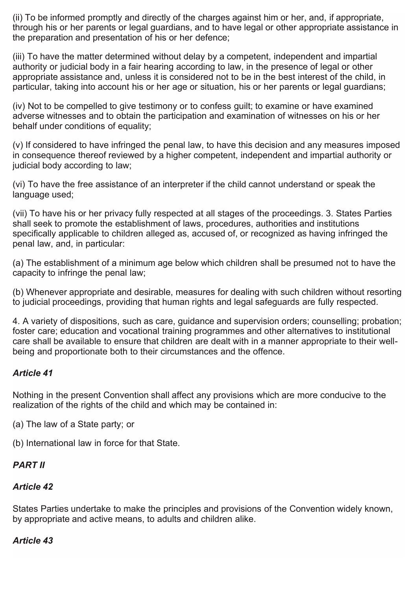(ii) To be informed promptly and directly of the charges against him or her, and, if appropriate, through his or her parents or legal guardians, and to have legal or other appropriate assistance in the preparation and presentation of his or her defence;

(iii) To have the matter determined without delay by a competent, independent and impartial authority or judicial body in a fair hearing according to law, in the presence of legal or other appropriate assistance and, unless it is considered not to be in the best interest of the child, in particular, taking into account his or her age or situation, his or her parents or legal guardians;

(iv) Not to be compelled to give testimony or to confess guilt; to examine or have examined adverse witnesses and to obtain the participation and examination of witnesses on his or her behalf under conditions of equality;

(v) If considered to have infringed the penal law, to have this decision and any measures imposed in consequence thereof reviewed by a higher competent, independent and impartial authority or judicial body according to law;

(vi) To have the free assistance of an interpreter if the child cannot understand or speak the language used;

(vii) To have his or her privacy fully respected at all stages of the proceedings. 3. States Parties shall seek to promote the establishment of laws, procedures, authorities and institutions specifically applicable to children alleged as, accused of, or recognized as having infringed the penal law, and, in particular:

(a) The establishment of a minimum age below which children shall be presumed not to have the capacity to infringe the penal law;

(b) Whenever appropriate and desirable, measures for dealing with such children without resorting to judicial proceedings, providing that human rights and legal safeguards are fully respected.

4. A variety of dispositions, such as care, guidance and supervision orders; counselling; probation; foster care; education and vocational training programmes and other alternatives to institutional care shall be available to ensure that children are dealt with in a manner appropriate to their wellbeing and proportionate both to their circumstances and the offence.

## *Article 41*

Nothing in the present Convention shall affect any provisions which are more conducive to the realization of the rights of the child and which may be contained in:

(a) The law of a State party; or

(b) International law in force for that State.

## *PART II*

## *Article 42*

States Parties undertake to make the principles and provisions of the Convention widely known, by appropriate and active means, to adults and children alike.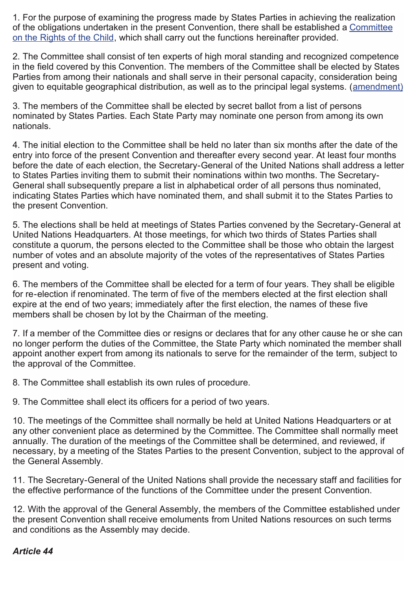1. For the purpose of examining the progress made by States Parties in achieving the realization of the obligations undertaken in the present Convention, there shall be established a Committee on the Rights of the Child, which shall carry out the functions hereinafter provided.

2. The Committee shall consist of ten experts of high moral standing and recognized competence in the field covered by this Convention. The members of the Committee shall be elected by States Parties from among their nationals and shall serve in their personal capacity, consideration being given to equitable geographical distribution, as well as to the principal legal systems. (amendment)

3. The members of the Committee shall be elected by secret ballot from a list of persons nominated by States Parties. Each State Party may nominate one person from among its own nationals.

4. The initial election to the Committee shall be held no later than six months after the date of the entry into force of the present Convention and thereafter every second year. At least four months before the date of each election, the Secretary-General of the United Nations shall address a letter to States Parties inviting them to submit their nominations within two months. The Secretary-General shall subsequently prepare a list in alphabetical order of all persons thus nominated, indicating States Parties which have nominated them, and shall submit it to the States Parties to the present Convention.

5. The elections shall be held at meetings of States Parties convened by the Secretary-General at United Nations Headquarters. At those meetings, for which two thirds of States Parties shall constitute a quorum, the persons elected to the Committee shall be those who obtain the largest number of votes and an absolute majority of the votes of the representatives of States Parties present and voting.

6. The members of the Committee shall be elected for a term of four years. They shall be eligible for re-election if renominated. The term of five of the members elected at the first election shall expire at the end of two years; immediately after the first election, the names of these five members shall be chosen by lot by the Chairman of the meeting.

7. If a member of the Committee dies or resigns or declares that for any other cause he or she can no longer perform the duties of the Committee, the State Party which nominated the member shall appoint another expert from among its nationals to serve for the remainder of the term, subject to the approval of the Committee.

8. The Committee shall establish its own rules of procedure.

9. The Committee shall elect its officers for a period of two years.

10. The meetings of the Committee shall normally be held at United Nations Headquarters or at any other convenient place as determined by the Committee. The Committee shall normally meet annually. The duration of the meetings of the Committee shall be determined, and reviewed, if necessary, by a meeting of the States Parties to the present Convention, subject to the approval of the General Assembly.

11. The Secretary-General of the United Nations shall provide the necessary staff and facilities for the effective performance of the functions of the Committee under the present Convention.

12. With the approval of the General Assembly, the members of the Committee established under the present Convention shall receive emoluments from United Nations resources on such terms and conditions as the Assembly may decide.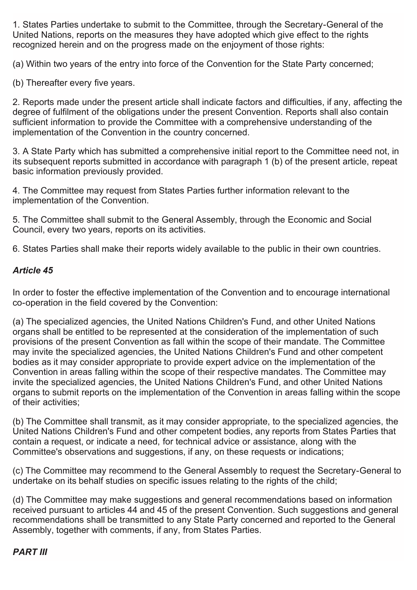1. States Parties undertake to submit to the Committee, through the Secretary-General of the United Nations, reports on the measures they have adopted which give effect to the rights recognized herein and on the progress made on the enjoyment of those rights:

(a) Within two years of the entry into force of the Convention for the State Party concerned;

(b) Thereafter every five years.

2. Reports made under the present article shall indicate factors and difficulties, if any, affecting the degree of fulfilment of the obligations under the present Convention. Reports shall also contain sufficient information to provide the Committee with a comprehensive understanding of the implementation of the Convention in the country concerned.

3. A State Party which has submitted a comprehensive initial report to the Committee need not, in its subsequent reports submitted in accordance with paragraph 1 (b) of the present article, repeat basic information previously provided.

4. The Committee may request from States Parties further information relevant to the implementation of the Convention.

5. The Committee shall submit to the General Assembly, through the Economic and Social Council, every two years, reports on its activities.

6. States Parties shall make their reports widely available to the public in their own countries.

## *Article 45*

In order to foster the effective implementation of the Convention and to encourage international co-operation in the field covered by the Convention:

(a) The specialized agencies, the United Nations Children's Fund, and other United Nations organs shall be entitled to be represented at the consideration of the implementation of such provisions of the present Convention as fall within the scope of their mandate. The Committee may invite the specialized agencies, the United Nations Children's Fund and other competent bodies as it may consider appropriate to provide expert advice on the implementation of the Convention in areas falling within the scope of their respective mandates. The Committee may invite the specialized agencies, the United Nations Children's Fund, and other United Nations organs to submit reports on the implementation of the Convention in areas falling within the scope of their activities;

(b) The Committee shall transmit, as it may consider appropriate, to the specialized agencies, the United Nations Children's Fund and other competent bodies, any reports from States Parties that contain a request, or indicate a need, for technical advice or assistance, along with the Committee's observations and suggestions, if any, on these requests or indications;

(c) The Committee may recommend to the General Assembly to request the Secretary-General to undertake on its behalf studies on specific issues relating to the rights of the child;

(d) The Committee may make suggestions and general recommendations based on information received pursuant to articles 44 and 45 of the present Convention. Such suggestions and general recommendations shall be transmitted to any State Party concerned and reported to the General Assembly, together with comments, if any, from States Parties.

## *PART III*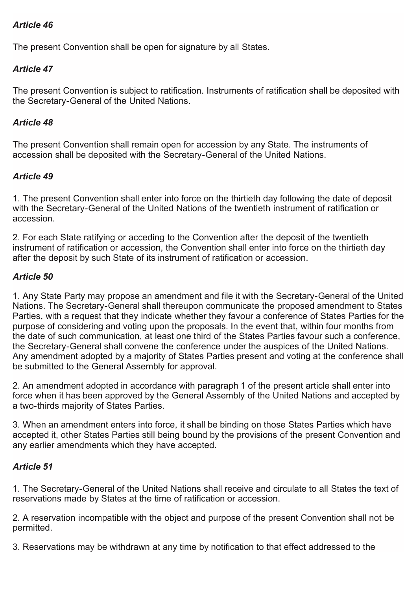## *Article 46*

The present Convention shall be open for signature by all States.

# *Article 47*

The present Convention is subject to ratification. Instruments of ratification shall be deposited with the Secretary-General of the United Nations.

## *Article 48*

The present Convention shall remain open for accession by any State. The instruments of accession shall be deposited with the Secretary-General of the United Nations.

## *Article 49*

1. The present Convention shall enter into force on the thirtieth day following the date of deposit with the Secretary-General of the United Nations of the twentieth instrument of ratification or accession.

2. For each State ratifying or acceding to the Convention after the deposit of the twentieth instrument of ratification or accession, the Convention shall enter into force on the thirtieth day after the deposit by such State of its instrument of ratification or accession.

## *Article 50*

1. Any State Party may propose an amendment and file it with the Secretary-General of the United Nations. The Secretary-General shall thereupon communicate the proposed amendment to States Parties, with a request that they indicate whether they favour a conference of States Parties for the purpose of considering and voting upon the proposals. In the event that, within four months from the date of such communication, at least one third of the States Parties favour such a conference, the Secretary-General shall convene the conference under the auspices of the United Nations. Any amendment adopted by a majority of States Parties present and voting at the conference shall be submitted to the General Assembly for approval.

2. An amendment adopted in accordance with paragraph 1 of the present article shall enter into force when it has been approved by the General Assembly of the United Nations and accepted by a two-thirds majority of States Parties.

3. When an amendment enters into force, it shall be binding on those States Parties which have accepted it, other States Parties still being bound by the provisions of the present Convention and any earlier amendments which they have accepted.

#### *Article 51*

1. The Secretary-General of the United Nations shall receive and circulate to all States the text of reservations made by States at the time of ratification or accession.

2. A reservation incompatible with the object and purpose of the present Convention shall not be permitted.

3. Reservations may be withdrawn at any time by notification to that effect addressed to the